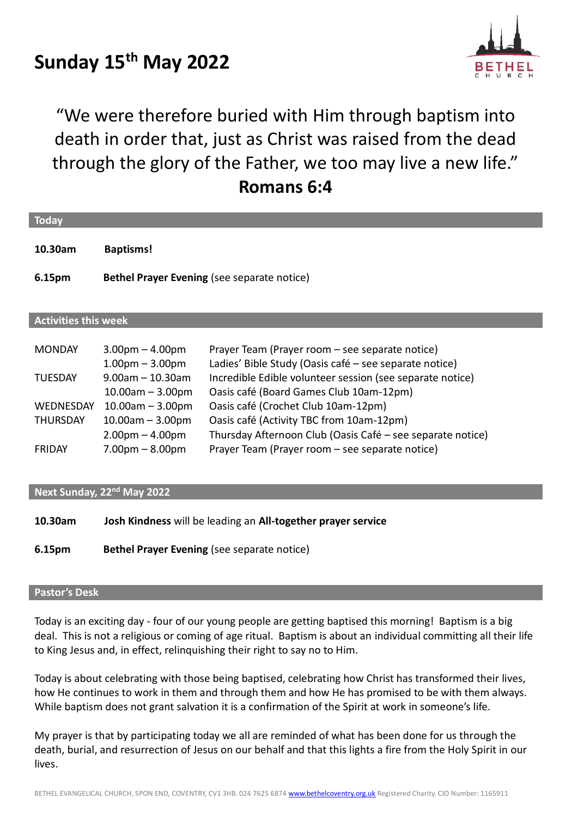# **Sunday 15th May 2022**



"We were therefore buried with Him through baptism into death in order that, just as Christ was raised from the dead through the glory of the Father, we too may live a new life." **Romans 6:4**

| <b>Today</b>                           |                                                                     |                                                                                                                                                                |  |  |  |  |
|----------------------------------------|---------------------------------------------------------------------|----------------------------------------------------------------------------------------------------------------------------------------------------------------|--|--|--|--|
| 10.30am                                | <b>Baptisms!</b>                                                    |                                                                                                                                                                |  |  |  |  |
| 6.15pm                                 | <b>Bethel Prayer Evening (see separate notice)</b>                  |                                                                                                                                                                |  |  |  |  |
|                                        |                                                                     |                                                                                                                                                                |  |  |  |  |
| <b>Activities this week</b>            |                                                                     |                                                                                                                                                                |  |  |  |  |
| <b>MONDAY</b>                          | $3.00pm - 4.00pm$                                                   | Prayer Team (Prayer room – see separate notice)                                                                                                                |  |  |  |  |
| <b>TUESDAY</b>                         | $1.00pm - 3.00pm$<br>$9.00$ am $-10.30$ am<br>$10.00$ am $-3.00$ pm | Ladies' Bible Study (Oasis café - see separate notice)<br>Incredible Edible volunteer session (see separate notice)<br>Oasis café (Board Games Club 10am-12pm) |  |  |  |  |
| <b>WEDNESDAY</b>                       | $10.00am - 3.00pm$                                                  | Oasis café (Crochet Club 10am-12pm)                                                                                                                            |  |  |  |  |
| <b>THURSDAY</b>                        | $10.00$ am $-3.00$ pm                                               | Oasis café (Activity TBC from 10am-12pm)                                                                                                                       |  |  |  |  |
| <b>FRIDAY</b>                          | $2.00pm - 4.00pm$<br>$7.00pm - 8.00pm$                              | Thursday Afternoon Club (Oasis Café - see separate notice)<br>Prayer Team (Prayer room - see separate notice)                                                  |  |  |  |  |
|                                        |                                                                     |                                                                                                                                                                |  |  |  |  |
| Next Sunday, 22 <sup>nd</sup> May 2022 |                                                                     |                                                                                                                                                                |  |  |  |  |
| 10.30am                                | Josh Kindness will be leading an All-together prayer service        |                                                                                                                                                                |  |  |  |  |

**6.15pm Bethel Prayer Evening** (see separate notice)

## **Pastor's Desk**

Today is an exciting day - four of our young people are getting baptised this morning! Baptism is a big deal. This is not a religious or coming of age ritual. Baptism is about an individual committing all their life to King Jesus and, in effect, relinquishing their right to say no to Him.

Today is about celebrating with those being baptised, celebrating how Christ has transformed their lives, how He continues to work in them and through them and how He has promised to be with them always. While baptism does not grant salvation it is a confirmation of the Spirit at work in someone's life.

My prayer is that by participating today we all are reminded of what has been done for us through the death, burial, and resurrection of Jesus on our behalf and that this lights a fire from the Holy Spirit in our lives.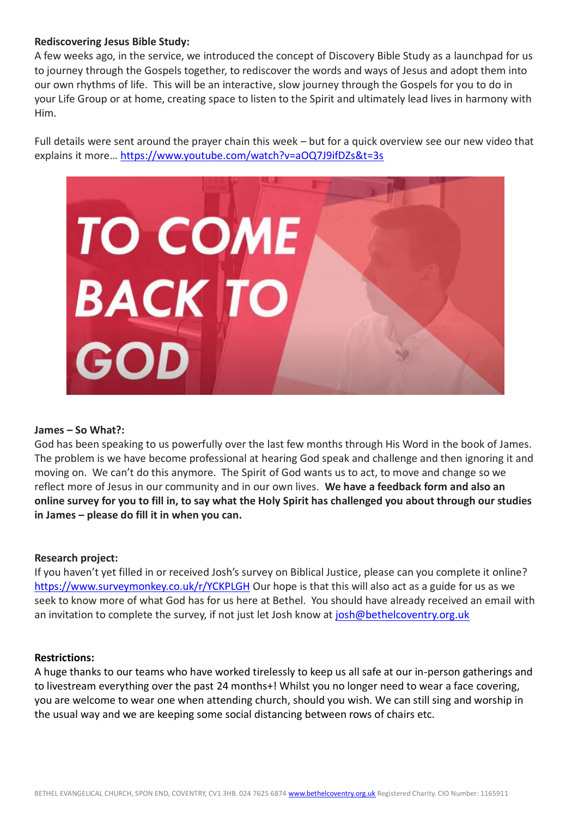## **Rediscovering Jesus Bible Study:**

A few weeks ago, in the service, we introduced the concept of Discovery Bible Study as a launchpad for us to journey through the Gospels together, to rediscover the words and ways of Jesus and adopt them into our own rhythms of life. This will be an interactive, slow journey through the Gospels for you to do in your Life Group or at home, creating space to listen to the Spirit and ultimately lead lives in harmony with Him.

Full details were sent around the prayer chain this week – but for a quick overview see our new video that explains it more…<https://www.youtube.com/watch?v=aOQ7J9ifDZs&t=3s>



#### **James – So What?:**

God has been speaking to us powerfully over the last few months through His Word in the book of James. The problem is we have become professional at hearing God speak and challenge and then ignoring it and moving on. We can't do this anymore. The Spirit of God wants us to act, to move and change so we reflect more of Jesus in our community and in our own lives. **We have a feedback form and also an online survey for you to fill in, to say what the Holy Spirit has challenged you about through our studies in James – please do fill it in when you can.**

## **Research project:**

If you haven't yet filled in or received Josh's survey on Biblical Justice, please can you complete it online? <https://www.surveymonkey.co.uk/r/YCKPLGH> Our hope is that this will also act as a guide for us as we seek to know more of what God has for us here at Bethel. You should have already received an email with an invitation to complete the survey, if not just let Josh know at [josh@bethelcoventry.org.uk](mailto:josh@bethelcoventry.org.uk)

#### **Restrictions:**

A huge thanks to our teams who have worked tirelessly to keep us all safe at our in-person gatherings and to livestream everything over the past 24 months+! Whilst you no longer need to wear a face covering, you are welcome to wear one when attending church, should you wish. We can still sing and worship in the usual way and we are keeping some social distancing between rows of chairs etc.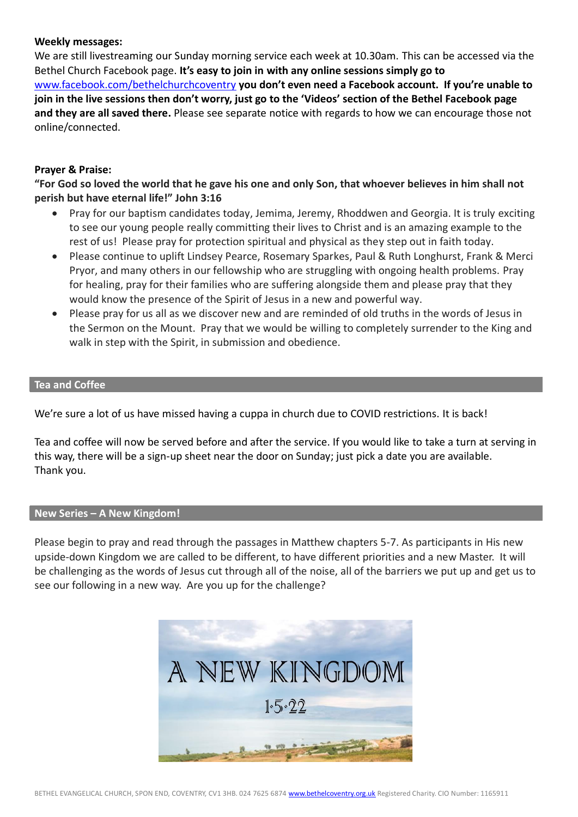## **Weekly messages:**

We are still livestreaming our Sunday morning service each week at 10.30am. This can be accessed via the Bethel Church Facebook page. **It's easy to join in with any online sessions simply go to**  [www.facebook.com/bethelchurchcoventry](http://www.facebook.com/bethelchurchcoventry) **you don't even need a Facebook account. If you're unable to join in the live sessions then don't worry, just go to the 'Videos' section of the Bethel Facebook page and they are all saved there.** Please see separate notice with regards to how we can encourage those not online/connected.

## **Prayer & Praise:**

**"For God so loved the world that he gave his one and only Son, that whoever believes in him shall not perish but have eternal life!" John 3:16**

- Pray for our baptism candidates today, Jemima, Jeremy, Rhoddwen and Georgia. It is truly exciting to see our young people really committing their lives to Christ and is an amazing example to the rest of us! Please pray for protection spiritual and physical as they step out in faith today.
- Please continue to uplift Lindsey Pearce, Rosemary Sparkes, Paul & Ruth Longhurst, Frank & Merci Pryor, and many others in our fellowship who are struggling with ongoing health problems. Pray for healing, pray for their families who are suffering alongside them and please pray that they would know the presence of the Spirit of Jesus in a new and powerful way.
- Please pray for us all as we discover new and are reminded of old truths in the words of Jesus in the Sermon on the Mount. Pray that we would be willing to completely surrender to the King and walk in step with the Spirit, in submission and obedience.

## **Tea and Coffee**

We're sure a lot of us have missed having a cuppa in church due to COVID restrictions. It is back!

Tea and coffee will now be served before and after the service. If you would like to take a turn at serving in this way, there will be a sign-up sheet near the door on Sunday; just pick a date you are available. Thank you.

## **New Series – A New Kingdom!**

Please begin to pray and read through the passages in Matthew chapters 5-7. As participants in His new upside-down Kingdom we are called to be different, to have different priorities and a new Master. It will be challenging as the words of Jesus cut through all of the noise, all of the barriers we put up and get us to see our following in a new way. Are you up for the challenge?

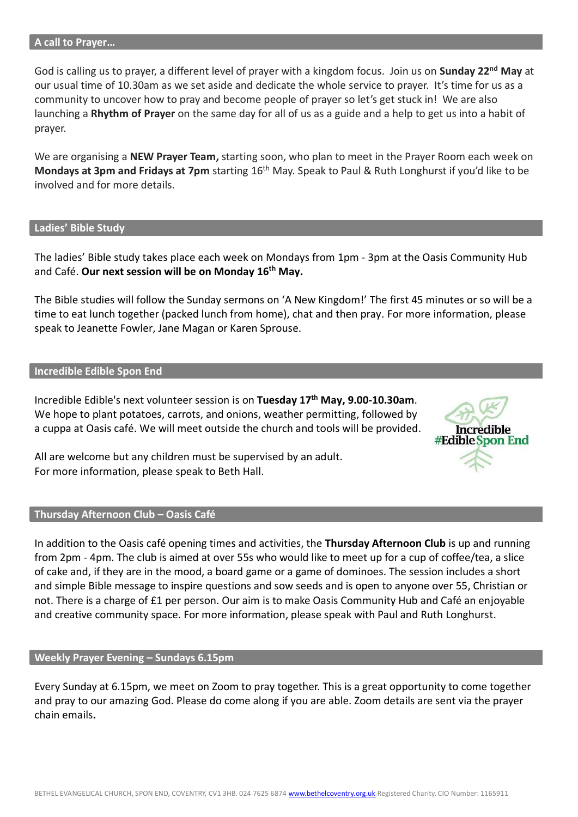#### **A call to Prayer…**

God is calling us to prayer, a different level of prayer with a kingdom focus. Join us on **Sunday 22nd May** at our usual time of 10.30am as we set aside and dedicate the whole service to prayer. It's time for us as a community to uncover how to pray and become people of prayer so let's get stuck in! We are also launching a **Rhythm of Prayer** on the same day for all of us as a guide and a help to get us into a habit of prayer.

We are organising a **NEW Prayer Team,** starting soon, who plan to meet in the Prayer Room each week on **Mondays at 3pm and Fridays at 7pm** starting 16th May. Speak to Paul & Ruth Longhurst if you'd like to be involved and for more details.

#### **Ladies' Bible Study**

The ladies' Bible study takes place each week on Mondays from 1pm - 3pm at the Oasis Community Hub and Café. **Our next session will be on Monday 16th May.**

The Bible studies will follow the Sunday sermons on 'A New Kingdom!' The first 45 minutes or so will be a time to eat lunch together (packed lunch from home), chat and then pray. For more information, please speak to Jeanette Fowler, Jane Magan or Karen Sprouse.

#### **Incredible Edible Spon End**

Incredible Edible's next volunteer session is on **Tuesday 17th May, 9.00-10.30am**. We hope to plant potatoes, carrots, and onions, weather permitting, followed by a cuppa at Oasis café. We will meet outside the church and tools will be provided.



All are welcome but any children must be supervised by an adult. For more information, please speak to Beth Hall.

#### **Thursday Afternoon Club – Oasis Café**

In addition to the Oasis café opening times and activities, the **Thursday Afternoon Club** is up and running from 2pm - 4pm. The club is aimed at over 55s who would like to meet up for a cup of coffee/tea, a slice of cake and, if they are in the mood, a board game or a game of dominoes. The session includes a short and simple Bible message to inspire questions and sow seeds and is open to anyone over 55, Christian or not. There is a charge of £1 per person. Our aim is to make Oasis Community Hub and Café an enjoyable and creative community space. For more information, please speak with Paul and Ruth Longhurst.

### **Weekly Prayer Evening – Sundays 6.15pm**

Every Sunday at 6.15pm, we meet on Zoom to pray together. This is a great opportunity to come together and pray to our amazing God. Please do come along if you are able. Zoom details are sent via the prayer chain emails**.**